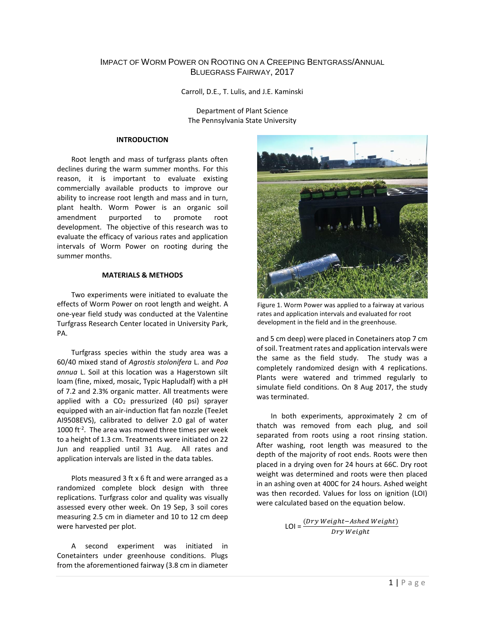# IMPACT OF WORM POWER ON ROOTING ON A CREEPING BENTGRASS/ANNUAL BLUEGRASS FAIRWAY, 2017

Carroll, D.E., T. Lulis, and J.E. Kaminski

Department of Plant Science The Pennsylvania State University

### **INTRODUCTION**

Root length and mass of turfgrass plants often declines during the warm summer months. For this reason, it is important to evaluate existing commercially available products to improve our ability to increase root length and mass and in turn, plant health. Worm Power is an organic soil amendment purported to promote root development. The objective of this research was to evaluate the efficacy of various rates and application intervals of Worm Power on rooting during the summer months.

#### **MATERIALS & METHODS**

Two experiments were initiated to evaluate the effects of Worm Power on root length and weight. A one-year field study was conducted at the Valentine Turfgrass Research Center located in University Park, PA.

Turfgrass species within the study area was a 60/40 mixed stand of *Agrostis stolonifera* L. and *Poa annua* L. Soil at this location was a Hagerstown silt loam (fine, mixed, mosaic, Typic Hapludalf) with a pH of 7.2 and 2.3% organic matter. All treatments were applied with a  $CO<sub>2</sub>$  pressurized (40 psi) sprayer equipped with an air-induction flat fan nozzle (TeeJet AI9508EVS), calibrated to deliver 2.0 gal of water 1000 ft<sup>-2</sup>. The area was mowed three times per week to a height of 1.3 cm. Treatments were initiated on 22 Jun and reapplied until 31 Aug. All rates and application intervals are listed in the data tables.

Plots measured 3 ft x 6 ft and were arranged as a randomized complete block design with three replications. Turfgrass color and quality was visually assessed every other week. On 19 Sep, 3 soil cores measuring 2.5 cm in diameter and 10 to 12 cm deep were harvested per plot.

A second experiment was initiated in Conetainters under greenhouse conditions. Plugs from the aforementioned fairway (3.8 cm in diameter



Figure 1. Worm Power was applied to a fairway at various rates and application intervals and evaluated for root development in the field and in the greenhouse.

and 5 cm deep) were placed in Conetainers atop 7 cm of soil. Treatment rates and application intervals were the same as the field study. The study was a completely randomized design with 4 replications. Plants were watered and trimmed regularly to simulate field conditions. On 8 Aug 2017, the study was terminated.

In both experiments, approximately 2 cm of thatch was removed from each plug, and soil separated from roots using a root rinsing station. After washing, root length was measured to the depth of the majority of root ends. Roots were then placed in a drying oven for 24 hours at 66C. Dry root weight was determined and roots were then placed in an ashing oven at 400C for 24 hours. Ashed weight was then recorded. Values for loss on ignition (LOI) were calculated based on the equation below.

$$
LOI = \frac{(Dry \; Weight - Ashed \; Weight}{ Dry \; Weight}
$$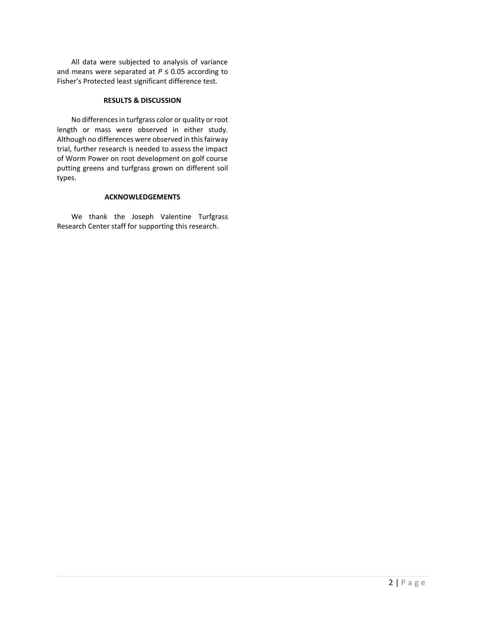All data were subjected to analysis of variance and means were separated at  $P \le 0.05$  according to Fisher's Protected least significant difference test.

# **RESULTS & DISCUSSION**

No differences in turfgrass color or quality or root length or mass were observed in either study. Although no differences were observed in this fairway trial, further research is needed to assess the impact of Worm Power on root development on golf course putting greens and turfgrass grown on different soil types.

### **ACKNOWLEDGEMENTS**

We thank the Joseph Valentine Turfgrass Research Center staff for supporting this research.